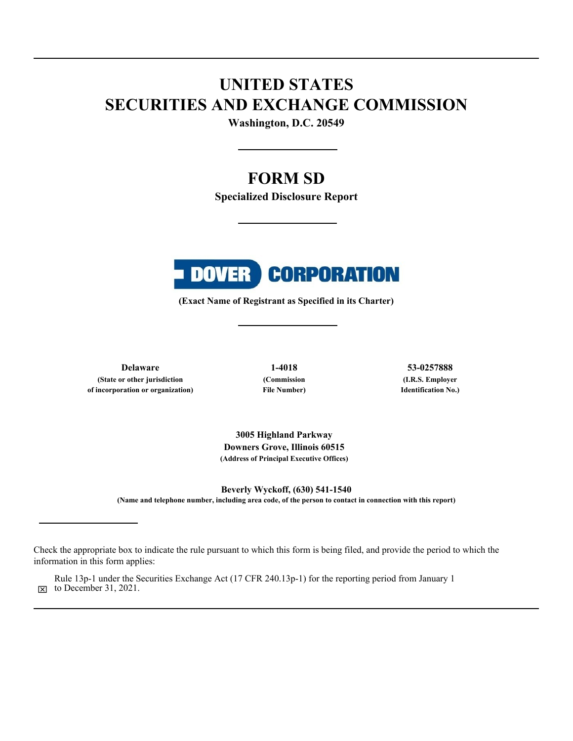# **UNITED STATES SECURITIES AND EXCHANGE COMMISSION**

**Washington, D.C. 20549**

## **FORM SD**

**Specialized Disclosure Report**



**(Exact Name of Registrant as Specified in its Charter)**

**Delaware 1-4018 53-0257888 (State or other jurisdiction of incorporation or organization)**

**(Commission File Number)**

**(I.R.S. Employer Identification No.)**

**3005 Highland Parkway Downers Grove, Illinois 60515 (Address of Principal Executive Offices)**

**Beverly Wyckoff, (630) 541-1540 (Name and telephone number, including area code, of the person to contact in connection with this report)**

 $\boxtimes$  to December 31, 2021. Rule 13p-1 under the Securities Exchange Act (17 CFR 240.13p-1) for the reporting period from January 1

Check the appropriate box to indicate the rule pursuant to which this form is being filed, and provide the period to which the information in this form applies: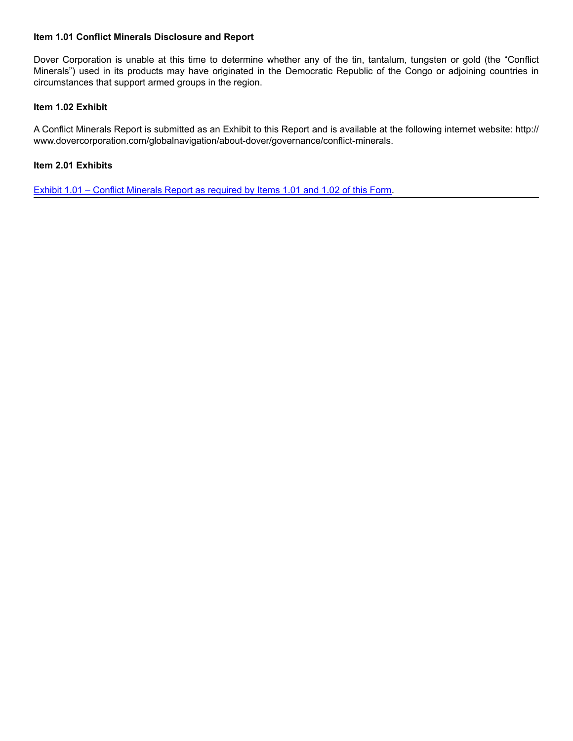#### **Item 1.01 Conflict Minerals Disclosure and Report**

Dover Corporation is unable at this time to determine whether any of the tin, tantalum, tungsten or gold (the "Conflict Minerals") used in its products may have originated in the Democratic Republic of the Congo or adjoining countries in circumstances that support armed groups in the region.

#### **Item 1.02 Exhibit**

A Conflict Minerals Report is submitted as an Exhibit to this Report and is available at the following internet website: http:// www.dovercorporation.com/globalnavigation/about-dover/governance/conflict-minerals.

### **Item 2.01 Exhibits**

[Exhibit 1.01 – Conflict Minerals Report as required by Items 1.01 and 1.02 of this Form.](#page-3-0)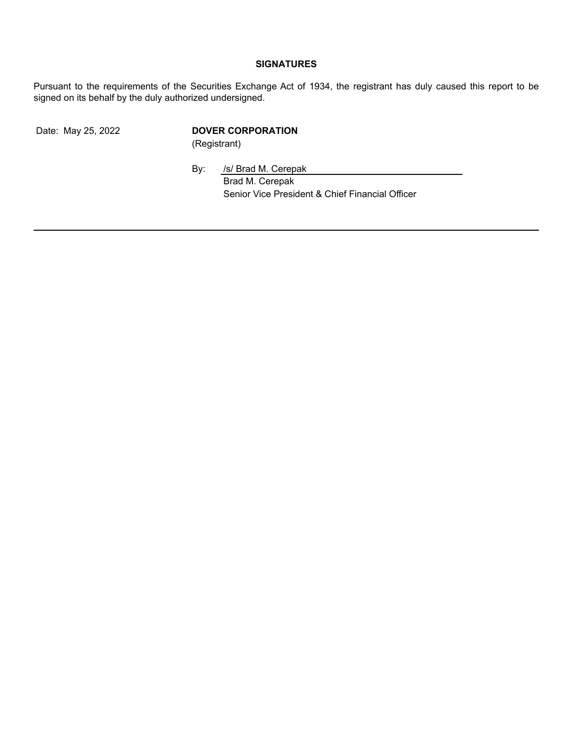## **SIGNATURES**

Pursuant to the requirements of the Securities Exchange Act of 1934, the registrant has duly caused this report to be signed on its behalf by the duly authorized undersigned.

## Date: May 25, 2022 **DOVER CORPORATION**

(Registrant)

By: /s/ Brad M. Cerepak Brad M. Cerepak Senior Vice President & Chief Financial Officer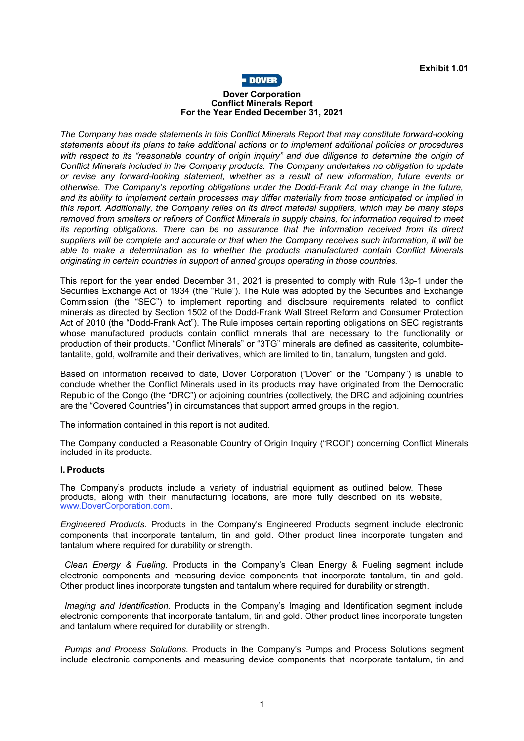

#### **Dover Corporation Conflict Minerals Report For the Year Ended December 31, 2021**

<span id="page-3-0"></span>*The Company has made statements in this Conflict Minerals Report that may constitute forward-looking statements about its plans to take additional actions or to implement additional policies or procedures with respect to its "reasonable country of origin inquiry" and due diligence to determine the origin of Conflict Minerals included in the Company products. The Company undertakes no obligation to update or revise any forward-looking statement, whether as a result of new information, future events or otherwise. The Company's reporting obligations under the Dodd-Frank Act may change in the future, and its ability to implement certain processes may differ materially from those anticipated or implied in this report. Additionally, the Company relies on its direct material suppliers, which may be many steps removed from smelters or refiners of Conflict Minerals in supply chains, for information required to meet its reporting obligations. There can be no assurance that the information received from its direct suppliers will be complete and accurate or that when the Company receives such information, it will be able to make a determination as to whether the products manufactured contain Conflict Minerals originating in certain countries in support of armed groups operating in those countries.*

This report for the year ended December 31, 2021 is presented to comply with Rule 13p-1 under the Securities Exchange Act of 1934 (the "Rule"). The Rule was adopted by the Securities and Exchange Commission (the "SEC") to implement reporting and disclosure requirements related to conflict minerals as directed by Section 1502 of the Dodd-Frank Wall Street Reform and Consumer Protection Act of 2010 (the "Dodd-Frank Act"). The Rule imposes certain reporting obligations on SEC registrants whose manufactured products contain conflict minerals that are necessary to the functionality or production of their products. "Conflict Minerals" or "3TG" minerals are defined as cassiterite, columbitetantalite, gold, wolframite and their derivatives, which are limited to tin, tantalum, tungsten and gold.

Based on information received to date, Dover Corporation ("Dover" or the "Company") is unable to conclude whether the Conflict Minerals used in its products may have originated from the Democratic Republic of the Congo (the "DRC") or adjoining countries (collectively, the DRC and adjoining countries are the "Covered Countries") in circumstances that support armed groups in the region.

The information contained in this report is not audited.

The Company conducted a Reasonable Country of Origin Inquiry ("RCOI") concerning Conflict Minerals included in its products.

#### **I. Products**

The Company's products include a variety of industrial equipment as outlined below. These products, along with their manufacturing locations, are more fully described on its website, www.DoverCorporation.com.

*Engineered Products.* Products in the Company's Engineered Products segment include electronic components that incorporate tantalum, tin and gold. Other product lines incorporate tungsten and tantalum where required for durability or strength.

*Clean Energy & Fueling.* Products in the Company's Clean Energy & Fueling segment include electronic components and measuring device components that incorporate tantalum, tin and gold. Other product lines incorporate tungsten and tantalum where required for durability or strength.

*Imaging and Identification.* Products in the Company's Imaging and Identification segment include electronic components that incorporate tantalum, tin and gold. Other product lines incorporate tungsten and tantalum where required for durability or strength.

*Pumps and Process Solutions.* Products in the Company's Pumps and Process Solutions segment include electronic components and measuring device components that incorporate tantalum, tin and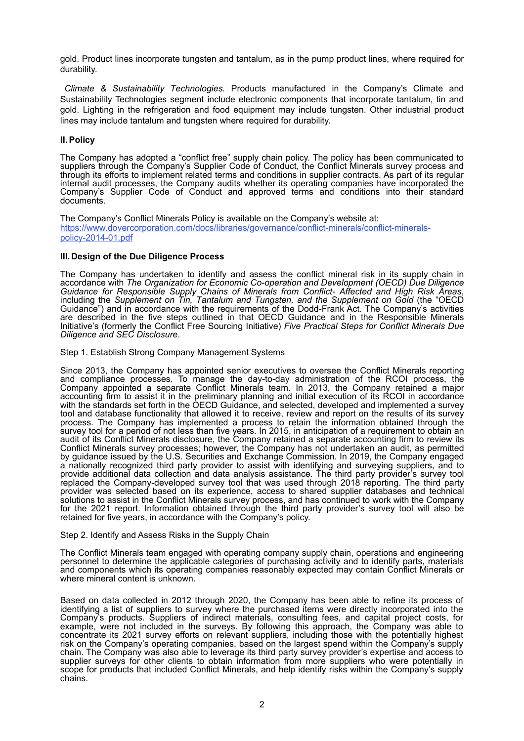gold. Product lines incorporate tungsten and tantalum, as in the pump product lines, where required for durability.

*Climate & Sustainability Technologies.* Products manufactured in the Company's Climate and Sustainability Technologies segment include electronic components that incorporate tantalum, tin and gold. Lighting in the refrigeration and food equipment may include tungsten. Other industrial product lines may include tantalum and tungsten where required for durability.

#### **II.Policy**

The Company has adopted a "conflict free" supply chain policy. The policy has been communicated to suppliers through the Company's Supplier Code of Conduct, the Conflict Minerals survey process and through its efforts to implement related terms and conditions in supplier contracts. As part of its regular internal audit processes, the Company audits whether its operating companies have incorporated the Company's Supplier Code of Conduct and approved terms and conditions into their standard documents.

The Company's Conflict Minerals Policy is available on the Company's website at: https://www.dovercorporation.com/docs/libraries/governance/conflict-minerals/conflict-mineralspolicy-2014-01.pdf

#### **III.Design of the Due Diligence Process**

The Company has undertaken to identify and assess the conflict mineral risk in its supply chain in accordance with *The Organization for Economic Co-operation and Development (OECD) Due Diligence Guidance for Responsible Supply Chains of Minerals from Conflict- Affected and High Risk Areas*, including the *Supplement on Tin, Tantalum and Tungsten, and the Supplement on Gold* (the "OECD Guidance") and in accordance with the requirements of the Dodd-Frank Act. The Company's activities are described in the five steps outlined in that OECD Guidance and in the Responsible Minerals Initiative's (formerly the Conflict Free Sourcing Initiative) *Five Practical Steps for Conflict Minerals Due Diligence and SEC Disclosure*.

Step 1. Establish Strong Company Management Systems

Since 2013, the Company has appointed senior executives to oversee the Conflict Minerals reporting and compliance processes. To manage the day-to-day administration of the RCOI process, the Company appointed a separate Conflict Minerals team. In 2013, the Company retained a major accounting firm to assist it in the preliminary planning and initial execution of its RCOI in accordance with the standards set forth in the OECD Guidance, and selected, developed and implemented a survey tool and database functionality that allowed it to receive, review and report on the results of its survey process. The Company has implemented a process to retain the information obtained through the survey tool for a period of not less than five years. In 2015, in anticipation of a requirement to obtain an audit of its Conflict Minerals disclosure, the Company retained a separate accounting firm to review its Conflict Minerals survey processes; however, the Company has not undertaken an audit, as permitted by guidance issued by the U.S. Securities and Exchange Commission. In 2019, the Company engaged a nationally recognized third party provider to assist with identifying and surveying suppliers, and to provide additional data collection and data analysis assistance. The third party provider's survey tool replaced the Company-developed survey tool that was used through 2018 reporting. The third party provider was selected based on its experience, access to shared supplier databases and technical solutions to assist in the Conflict Minerals survey process, and has continued to work with the Company for the 2021 report. Information obtained through the third party provider's survey tool will also be retained for five years, in accordance with the Company's policy.

#### Step 2. Identify and Assess Risks in the Supply Chain

The Conflict Minerals team engaged with operating company supply chain, operations and engineering personnel to determine the applicable categories of purchasing activity and to identify parts, materials and components which its operating companies reasonably expected may contain Conflict Minerals or where mineral content is unknown.

Based on data collected in 2012 through 2020, the Company has been able to refine its process of identifying a list of suppliers to survey where the purchased items were directly incorporated into the Company's products. Suppliers of indirect materials, consulting fees, and capital project costs, for example, were not included in the surveys. By following this approach, the Company was able to concentrate its 2021 survey efforts on relevant suppliers, including those with the potentially highest risk on the Company's operating companies, based on the largest spend within the Company's supply chain. The Company was also able to leverage its third party survey provider's expertise and access to supplier surveys for other clients to obtain information from more suppliers who were potentially in scope for products that included Conflict Minerals, and help identify risks within the Company's supply chains.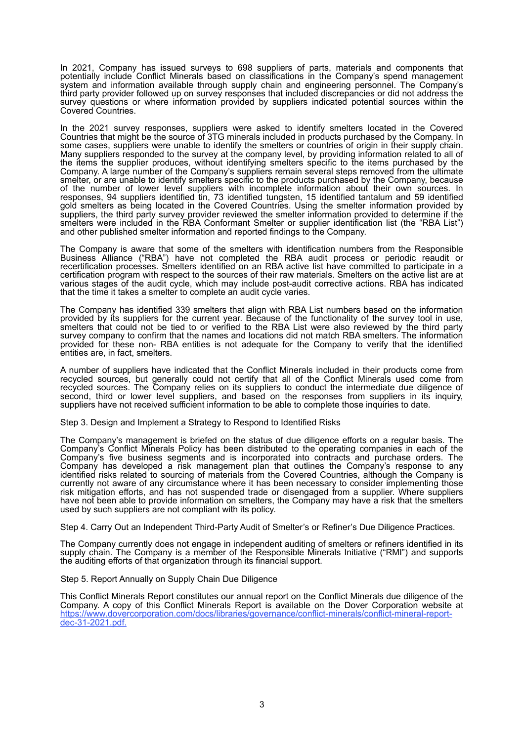In 2021, Company has issued surveys to 698 suppliers of parts, materials and components that potentially include Conflict Minerals based on classifications in the Company's spend management system and information available through supply chain and engineering personnel. The Company's third party provider followed up on survey responses that included discrepancies or did not address the survey questions or where information provided by suppliers indicated potential sources within the Covered Countries.

In the 2021 survey responses, suppliers were asked to identify smelters located in the Covered Countries that might be the source of 3TG minerals included in products purchased by the Company. In some cases, suppliers were unable to identify the smelters or countries of origin in their supply chain. Many suppliers responded to the survey at the company level, by providing information related to all of the items the supplier produces, without identifying smelters specific to the items purchased by the Company. A large number of the Company's suppliers remain several steps removed from the ultimate smelter, or are unable to identify smelters specific to the products purchased by the Company, because of the number of lower level suppliers with incomplete information about their own sources. In responses, 94 suppliers identified tin, 73 identified tungsten, 15 identified tantalum and 59 identified gold smelters as being located in the Covered Countries. Using the smelter information provided by suppliers, the third party survey provider reviewed the smelter information provided to determine if the smelters were included in the RBA Conformant Smelter or supplier identification list (the "RBA List") and other published smelter information and reported findings to the Company.

The Company is aware that some of the smelters with identification numbers from the Responsible Business Alliance ("RBA") have not completed the RBA audit process or periodic reaudit or recertification processes. Smelters identified on an RBA active list have committed to participate in a certification program with respect to the sources of their raw materials. Smelters on the active list are at various stages of the audit cycle, which may include post-audit corrective actions. RBA has indicated that the time it takes a smelter to complete an audit cycle varies.

The Company has identified 339 smelters that align with RBA List numbers based on the information provided by its suppliers for the current year. Because of the functionality of the survey tool in use, smelters that could not be tied to or verified to the RBA List were also reviewed by the third party survey company to confirm that the names and locations did not match RBA smelters. The information provided for these non- RBA entities is not adequate for the Company to verify that the identified entities are, in fact, smelters.

A number of suppliers have indicated that the Conflict Minerals included in their products come from recycled sources, but generally could not certify that all of the Conflict Minerals used come from recycled sources. The Company relies on its suppliers to conduct the intermediate due diligence of second, third or lower level suppliers, and based on the responses from suppliers in its inquiry, suppliers have not received sufficient information to be able to complete those inquiries to date.

Step 3. Design and Implement a Strategy to Respond to Identified Risks

The Company's management is briefed on the status of due diligence efforts on a regular basis. The Company's Conflict Minerals Policy has been distributed to the operating companies in each of the Company's five business segments and is incorporated into contracts and purchase orders. The Company has developed a risk management plan that outlines the Company's response to any identified risks related to sourcing of materials from the Covered Countries, although the Company is currently not aware of any circumstance where it has been necessary to consider implementing those risk mitigation efforts, and has not suspended trade or disengaged from a supplier. Where suppliers have not been able to provide information on smelters, the Company may have a risk that the smelters used by such suppliers are not compliant with its policy.

Step 4. Carry Out an Independent Third-Party Audit of Smelter's or Refiner's Due Diligence Practices.

The Company currently does not engage in independent auditing of smelters or refiners identified in its supply chain. The Company is a member of the Responsible Minerals Initiative ("RMI") and supports the auditing efforts of that organization through its financial support.

Step 5. Report Annually on Supply Chain Due Diligence

This Conflict Minerals Report constitutes our annual report on the Conflict Minerals due diligence of the Company. A copy of this Conflict Minerals Report is available on the Dover Corporation website at https://www.dovercorporation.com/docs/libraries/governance/conflict-minerals/conflict-mineral-reportdec-31-2021.pdf.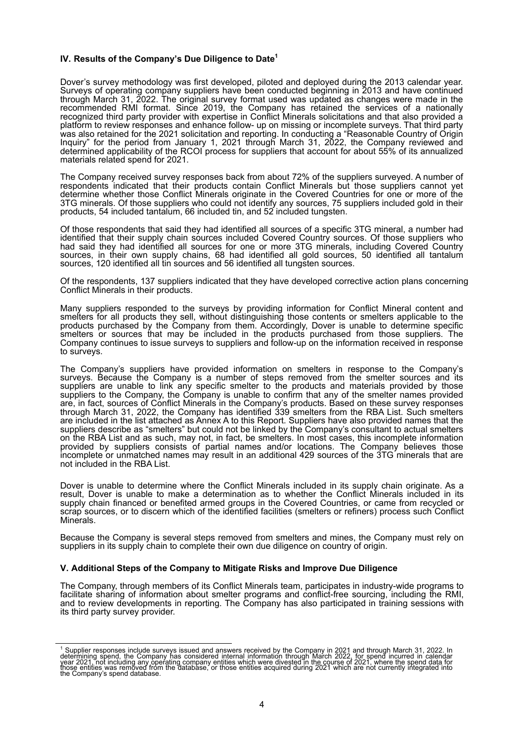#### **IV. Results of the Company's Due Diligence to Date<sup>1</sup>**

Dover's survey methodology was first developed, piloted and deployed during the 2013 calendar year. Surveys of operating company suppliers have been conducted beginning in 2013 and have continued through March 31, 2022. The original survey format used was updated as changes were made in the recommended RMI format. Since 2019, the Company has retained the services of a nationally recognized third party provider with expertise in Conflict Minerals solicitations and that also provided a platform to review responses and enhance follow- up on missing or incomplete surveys. That third party was also retained for the 2021 solicitation and reporting. In conducting a "Reasonable Country of Origin Inquiry" for the period from January 1, 2021 through March 31, 2022, the Company reviewed and determined applicability of the RCOI process for suppliers that account for about 55% of its annualized materials related spend for 2021.

The Company received survey responses back from about 72% of the suppliers surveyed. A number of respondents indicated that their products contain Conflict Minerals but those suppliers cannot yet determine whether those Conflict Minerals originate in the Covered Countries for one or more of the 3TG minerals. Of those suppliers who could not identify any sources, 75 suppliers included gold in their products, 54 included tantalum, 66 included tin, and 52 included tungsten.

Of those respondents that said they had identified all sources of a specific 3TG mineral, a number had identified that their supply chain sources included Covered Country sources. Of those suppliers who had said they had identified all sources for one or more 3TG minerals, including Covered Country sources, in their own supply chains, 68 had identified all gold sources, 50 identified all tantalum sources, 120 identified all tin sources and 56 identified all tungsten sources.

Of the respondents, 137 suppliers indicated that they have developed corrective action plans concerning Conflict Minerals in their products.

Many suppliers responded to the surveys by providing information for Conflict Mineral content and smelters for all products they sell, without distinguishing those contents or smelters applicable to the products purchased by the Company from them. Accordingly, Dover is unable to determine specific smelters or sources that may be included in the products purchased from those suppliers. The Company continues to issue surveys to suppliers and follow-up on the information received in response to surveys.

The Company's suppliers have provided information on smelters in response to the Company's surveys. Because the Company is a number of steps removed from the smelter sources and its suppliers are unable to link any specific smelter to the products and materials provided by those suppliers to the Company, the Company is unable to confirm that any of the smelter names provided are, in fact, sources of Conflict Minerals in the Company's products. Based on these survey responses through March 31, 2022, the Company has identified 339 smelters from the RBA List. Such smelters are included in the list attached as Annex A to this Report. Suppliers have also provided names that the suppliers describe as "smelters" but could not be linked by the Company's consultant to actual smelters on the RBA List and as such, may not, in fact, be smelters. In most cases, this incomplete information provided by suppliers consists of partial names and/or locations. The Company believes those incomplete or unmatched names may result in an additional 429 sources of the 3TG minerals that are not included in the RBA List.

Dover is unable to determine where the Conflict Minerals included in its supply chain originate. As a result, Dover is unable to make a determination as to whether the Conflict Minerals included in its supply chain financed or benefited armed groups in the Covered Countries, or came from recycled or scrap sources, or to discern which of the identified facilities (smelters or refiners) process such Conflict Minerals.

Because the Company is several steps removed from smelters and mines, the Company must rely on suppliers in its supply chain to complete their own due diligence on country of origin.

#### **V. Additional Steps of the Company to Mitigate Risks and Improve Due Diligence**

The Company, through members of its Conflict Minerals team, participates in industry-wide programs to facilitate sharing of information about smelter programs and conflict-free sourcing, including the RMI, and to review developments in reporting. The Company has also participated in training sessions with its third party survey provider.

<sup>&</sup>lt;sup>1</sup> Supplier responses include surveys issued and answers received by the Company in 2021 and through March 31, 2022. In determining spend, the Company has considered internal information through March 2022, for spend incu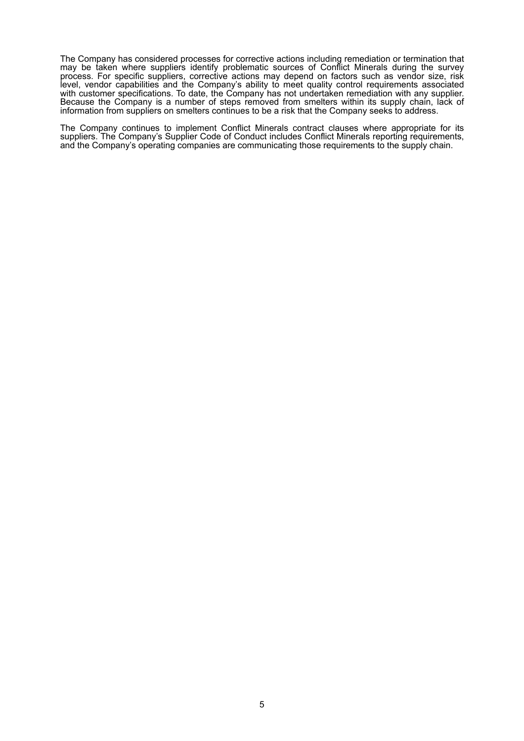The Company has considered processes for corrective actions including remediation or termination that may be taken where suppliers identify problematic sources of Conflict Minerals during the survey process. For specific suppliers, corrective actions may depend on factors such as vendor size, risk level, vendor capabilities and the Company's ability to meet quality control requirements associated with customer specifications. To date, the Company has not undertaken remediation with any supplier. Because the Company is a number of steps removed from smelters within its supply chain, lack of information from suppliers on smelters continues to be a risk that the Company seeks to address.

The Company continues to implement Conflict Minerals contract clauses where appropriate for its suppliers. The Company's Supplier Code of Conduct includes Conflict Minerals reporting requirements, and the Company's operating companies are communicating those requirements to the supply chain.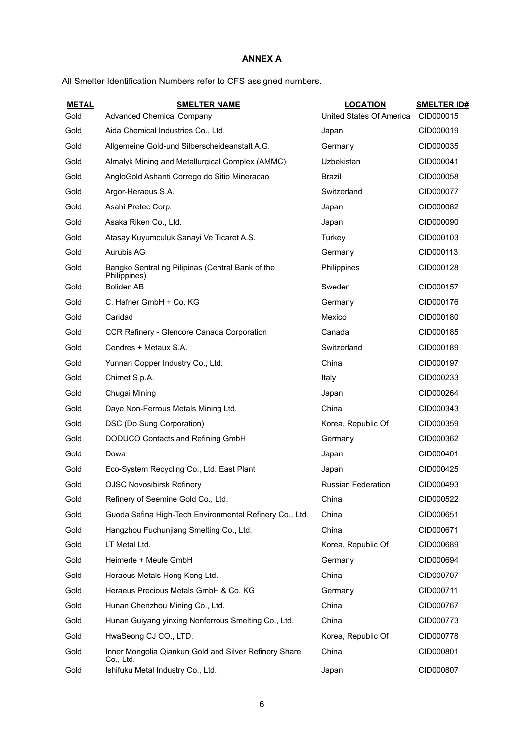## **ANNEX A**

All Smelter Identification Numbers refer to CFS assigned numbers.

| <b>METAL</b> | <b>SMELTER NAME</b>                                                | <b>LOCATION</b>           | <b>SMELTER ID#</b> |
|--------------|--------------------------------------------------------------------|---------------------------|--------------------|
| Gold         | <b>Advanced Chemical Company</b>                                   | United States Of America  | CID000015          |
| Gold         | Aida Chemical Industries Co., Ltd.                                 | Japan                     | CID000019          |
| Gold         | Allgemeine Gold-und Silberscheideanstalt A.G.                      | Germany                   | CID000035          |
| Gold         | Almalyk Mining and Metallurgical Complex (AMMC)                    | Uzbekistan                | CID000041          |
| Gold         | AngloGold Ashanti Corrego do Sitio Mineracao                       | <b>Brazil</b>             | CID000058          |
| Gold         | Argor-Heraeus S.A.                                                 | Switzerland               | CID000077          |
| Gold         | Asahi Pretec Corp.                                                 | Japan                     | CID000082          |
| Gold         | Asaka Riken Co., Ltd.                                              | Japan                     | CID000090          |
| Gold         | Atasay Kuyumculuk Sanayi Ve Ticaret A.S.                           | Turkey                    | CID000103          |
| Gold         | Aurubis AG                                                         | Germany                   | CID000113          |
| Gold         | Bangko Sentral ng Pilipinas (Central Bank of the<br>Philippines)   | Philippines               | CID000128          |
| Gold         | <b>Boliden AB</b>                                                  | Sweden                    | CID000157          |
| Gold         | C. Hafner GmbH + Co. KG                                            | Germany                   | CID000176          |
| Gold         | Caridad                                                            | Mexico                    | CID000180          |
| Gold         | CCR Refinery - Glencore Canada Corporation                         | Canada                    | CID000185          |
| Gold         | Cendres + Metaux S.A.                                              | Switzerland               | CID000189          |
| Gold         | Yunnan Copper Industry Co., Ltd.                                   | China                     | CID000197          |
| Gold         | Chimet S.p.A.                                                      | Italy                     | CID000233          |
| Gold         | Chugai Mining                                                      | Japan                     | CID000264          |
| Gold         | Daye Non-Ferrous Metals Mining Ltd.                                | China                     | CID000343          |
| Gold         | DSC (Do Sung Corporation)                                          | Korea, Republic Of        | CID000359          |
| Gold         | DODUCO Contacts and Refining GmbH                                  | Germany                   | CID000362          |
| Gold         | Dowa                                                               | Japan                     | CID000401          |
| Gold         | Eco-System Recycling Co., Ltd. East Plant                          | Japan                     | CID000425          |
| Gold         | <b>OJSC Novosibirsk Refinery</b>                                   | <b>Russian Federation</b> | CID000493          |
| Gold         | Refinery of Seemine Gold Co., Ltd.                                 | China                     | CID000522          |
| Gold         | Guoda Safina High-Tech Environmental Refinery Co., Ltd.            | China                     | CID000651          |
| Gold         | Hangzhou Fuchunjiang Smelting Co., Ltd.                            | China                     | CID000671          |
| Gold         | LT Metal Ltd.                                                      | Korea, Republic Of        | CID000689          |
| Gold         | Heimerle + Meule GmbH                                              | Germany                   | CID000694          |
| Gold         | Heraeus Metals Hong Kong Ltd.                                      | China                     | CID000707          |
| Gold         | Heraeus Precious Metals GmbH & Co. KG                              | Germany                   | CID000711          |
| Gold         | Hunan Chenzhou Mining Co., Ltd.                                    | China                     | CID000767          |
| Gold         | Hunan Guiyang yinxing Nonferrous Smelting Co., Ltd.                | China                     | CID000773          |
| Gold         | HwaSeong CJ CO., LTD.                                              | Korea, Republic Of        | CID000778          |
| Gold         | Inner Mongolia Qiankun Gold and Silver Refinery Share<br>Co., Ltd. | China                     | CID000801          |
| Gold         | Ishifuku Metal Industry Co., Ltd.                                  | Japan                     | CID000807          |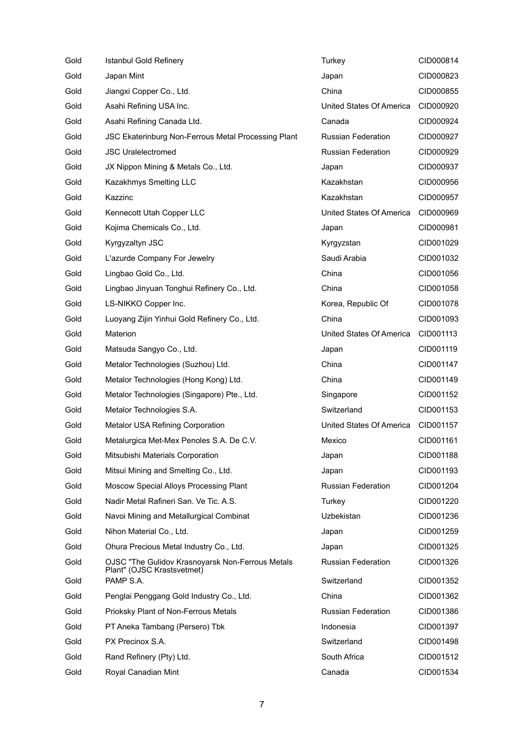| Gold | <b>Istanbul Gold Refinery</b>                                                  | Turkey                    | CID000814 |
|------|--------------------------------------------------------------------------------|---------------------------|-----------|
| Gold | Japan Mint                                                                     | Japan                     | CID000823 |
| Gold | Jiangxi Copper Co., Ltd.                                                       | China                     | CID000855 |
| Gold | Asahi Refining USA Inc.                                                        | United States Of America  | CID000920 |
| Gold | Asahi Refining Canada Ltd.                                                     | Canada                    | CID000924 |
| Gold | JSC Ekaterinburg Non-Ferrous Metal Processing Plant                            | <b>Russian Federation</b> | CID000927 |
| Gold | <b>JSC Uralelectromed</b>                                                      | <b>Russian Federation</b> | CID000929 |
| Gold | JX Nippon Mining & Metals Co., Ltd.                                            | Japan                     | CID000937 |
| Gold | Kazakhmys Smelting LLC                                                         | Kazakhstan                | CID000956 |
| Gold | Kazzinc                                                                        | Kazakhstan                | CID000957 |
| Gold | Kennecott Utah Copper LLC                                                      | United States Of America  | CID000969 |
| Gold | Kojima Chemicals Co., Ltd.                                                     | Japan                     | CID000981 |
| Gold | Kyrgyzaltyn JSC                                                                | Kyrgyzstan                | CID001029 |
| Gold | L'azurde Company For Jewelry                                                   | Saudi Arabia              | CID001032 |
| Gold | Lingbao Gold Co., Ltd.                                                         | China                     | CID001056 |
| Gold | Lingbao Jinyuan Tonghui Refinery Co., Ltd.                                     | China                     | CID001058 |
| Gold | LS-NIKKO Copper Inc.                                                           | Korea, Republic Of        | CID001078 |
| Gold | Luoyang Zijin Yinhui Gold Refinery Co., Ltd.                                   | China                     | CID001093 |
| Gold | Materion                                                                       | United States Of America  | CID001113 |
| Gold | Matsuda Sangyo Co., Ltd.                                                       | Japan                     | CID001119 |
| Gold | Metalor Technologies (Suzhou) Ltd.                                             | China                     | CID001147 |
| Gold | Metalor Technologies (Hong Kong) Ltd.                                          | China                     | CID001149 |
| Gold | Metalor Technologies (Singapore) Pte., Ltd.                                    | Singapore                 | CID001152 |
| Gold | Metalor Technologies S.A.                                                      | Switzerland               | CID001153 |
| Gold | Metalor USA Refining Corporation                                               | United States Of America  | CID001157 |
| Gold | Metalurgica Met-Mex Penoles S.A. De C.V.                                       | Mexico                    | CID001161 |
| Gold | Mitsubishi Materials Corporation                                               | Japan                     | CID001188 |
| Gold | Mitsui Mining and Smelting Co., Ltd.                                           | Japan                     | CID001193 |
| Gold | Moscow Special Alloys Processing Plant                                         | <b>Russian Federation</b> | CID001204 |
| Gold | Nadir Metal Rafineri San. Ve Tic. A.S.                                         | Turkey                    | CID001220 |
| Gold | Navoi Mining and Metallurgical Combinat                                        | Uzbekistan                | CID001236 |
| Gold | Nihon Material Co., Ltd.                                                       | Japan                     | CID001259 |
| Gold | Ohura Precious Metal Industry Co., Ltd.                                        | Japan                     | CID001325 |
| Gold | OJSC "The Gulidov Krasnoyarsk Non-Ferrous Metals<br>Plant" (OJSC Krastsvetmet) | <b>Russian Federation</b> | CID001326 |
| Gold | PAMP S.A.                                                                      | Switzerland               | CID001352 |
| Gold | Penglai Penggang Gold Industry Co., Ltd.                                       | China                     | CID001362 |
| Gold | Prioksky Plant of Non-Ferrous Metals                                           | <b>Russian Federation</b> | CID001386 |
| Gold | PT Aneka Tambang (Persero) Tbk                                                 | Indonesia                 | CID001397 |
| Gold | PX Precinox S.A.                                                               | Switzerland               | CID001498 |
| Gold | Rand Refinery (Pty) Ltd.                                                       | South Africa              | CID001512 |
| Gold | Royal Canadian Mint                                                            | Canada                    | CID001534 |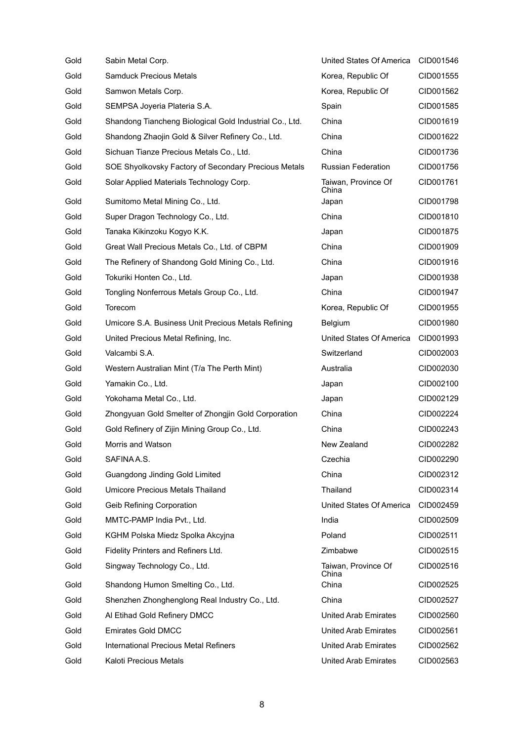| Gold | Sabin Metal Corp.                                       | United States Of America     | CID001546 |
|------|---------------------------------------------------------|------------------------------|-----------|
| Gold | <b>Samduck Precious Metals</b>                          | Korea, Republic Of           | CID001555 |
| Gold | Samwon Metals Corp.                                     | Korea, Republic Of           | CID001562 |
| Gold | SEMPSA Joyeria Plateria S.A.                            | Spain                        | CID001585 |
| Gold | Shandong Tiancheng Biological Gold Industrial Co., Ltd. | China                        | CID001619 |
| Gold | Shandong Zhaojin Gold & Silver Refinery Co., Ltd.       | China                        | CID001622 |
| Gold | Sichuan Tianze Precious Metals Co., Ltd.                | China                        | CID001736 |
| Gold | SOE Shyolkovsky Factory of Secondary Precious Metals    | <b>Russian Federation</b>    | CID001756 |
| Gold | Solar Applied Materials Technology Corp.                | Taiwan, Province Of<br>China | CID001761 |
| Gold | Sumitomo Metal Mining Co., Ltd.                         | Japan                        | CID001798 |
| Gold | Super Dragon Technology Co., Ltd.                       | China                        | CID001810 |
| Gold | Tanaka Kikinzoku Kogyo K.K.                             | Japan                        | CID001875 |
| Gold | Great Wall Precious Metals Co., Ltd. of CBPM            | China                        | CID001909 |
| Gold | The Refinery of Shandong Gold Mining Co., Ltd.          | China                        | CID001916 |
| Gold | Tokuriki Honten Co., Ltd.                               | Japan                        | CID001938 |
| Gold | Tongling Nonferrous Metals Group Co., Ltd.              | China                        | CID001947 |
| Gold | Torecom                                                 | Korea, Republic Of           | CID001955 |
| Gold | Umicore S.A. Business Unit Precious Metals Refining     | Belgium                      | CID001980 |
| Gold | United Precious Metal Refining, Inc.                    | United States Of America     | CID001993 |
| Gold | Valcambi S.A.                                           | Switzerland                  | CID002003 |
| Gold | Western Australian Mint (T/a The Perth Mint)            | Australia                    | CID002030 |
| Gold | Yamakin Co., Ltd.                                       | Japan                        | CID002100 |
| Gold | Yokohama Metal Co., Ltd.                                | Japan                        | CID002129 |
| Gold | Zhongyuan Gold Smelter of Zhongjin Gold Corporation     | China                        | CID002224 |
| Gold | Gold Refinery of Zijin Mining Group Co., Ltd.           | China                        | CID002243 |
| Gold | Morris and Watson                                       | New Zealand                  | CID002282 |
| Gold | SAFINA A.S.                                             | Czechia                      | CID002290 |
| Gold | Guangdong Jinding Gold Limited                          | China                        | CID002312 |
| Gold | <b>Umicore Precious Metals Thailand</b>                 | Thailand                     | CID002314 |
| Gold | Geib Refining Corporation                               | United States Of America     | CID002459 |
| Gold | MMTC-PAMP India Pvt., Ltd.                              | India                        | CID002509 |
| Gold | KGHM Polska Miedz Spolka Akcyjna                        | Poland                       | CID002511 |
| Gold | Fidelity Printers and Refiners Ltd.                     | Zimbabwe                     | CID002515 |
| Gold | Singway Technology Co., Ltd.                            | Taiwan, Province Of<br>China | CID002516 |
| Gold | Shandong Humon Smelting Co., Ltd.                       | China                        | CID002525 |
| Gold | Shenzhen Zhonghenglong Real Industry Co., Ltd.          | China                        | CID002527 |
| Gold | Al Etihad Gold Refinery DMCC                            | <b>United Arab Emirates</b>  | CID002560 |
| Gold | <b>Emirates Gold DMCC</b>                               | <b>United Arab Emirates</b>  | CID002561 |
| Gold | <b>International Precious Metal Refiners</b>            | <b>United Arab Emirates</b>  | CID002562 |
| Gold | Kaloti Precious Metals                                  | <b>United Arab Emirates</b>  | CID002563 |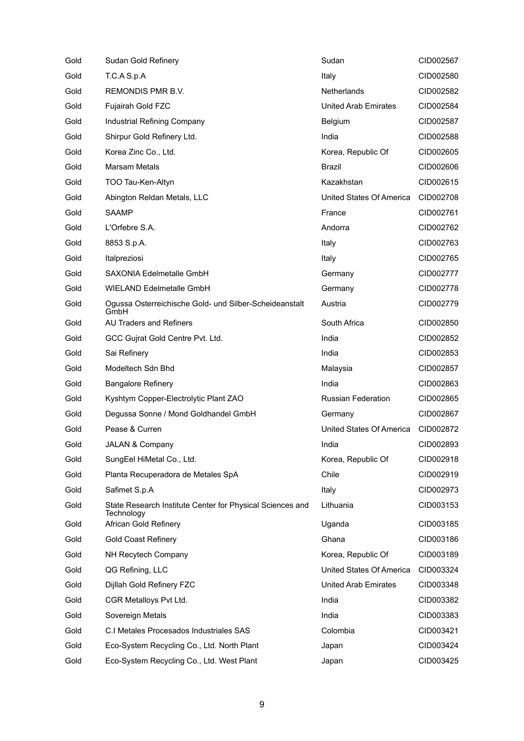| Gold | Sudan Gold Refinery                                                     | Sudan                       | CID002567 |
|------|-------------------------------------------------------------------------|-----------------------------|-----------|
| Gold | T.C.A S.p.A                                                             | Italy                       | CID002580 |
| Gold | <b>REMONDIS PMR B.V.</b>                                                | <b>Netherlands</b>          | CID002582 |
| Gold | Fujairah Gold FZC                                                       | <b>United Arab Emirates</b> | CID002584 |
| Gold | Industrial Refining Company                                             | <b>Belgium</b>              | CID002587 |
| Gold | Shirpur Gold Refinery Ltd.                                              | India                       | CID002588 |
| Gold | Korea Zinc Co., Ltd.                                                    | Korea, Republic Of          | CID002605 |
| Gold | Marsam Metals                                                           | Brazil                      | CID002606 |
| Gold | TOO Tau-Ken-Altyn                                                       | Kazakhstan                  | CID002615 |
| Gold | Abington Reldan Metals, LLC                                             | United States Of America    | CID002708 |
| Gold | <b>SAAMP</b>                                                            | France                      | CID002761 |
| Gold | L'Orfebre S.A.                                                          | Andorra                     | CID002762 |
| Gold | 8853 S.p.A.                                                             | Italy                       | CID002763 |
| Gold | Italpreziosi                                                            | Italy                       | CID002765 |
| Gold | SAXONIA Edelmetalle GmbH                                                | Germany                     | CID002777 |
| Gold | <b>WIELAND Edelmetalle GmbH</b>                                         | Germany                     | CID002778 |
| Gold | Ogussa Osterreichische Gold- und Silber-Scheideanstalt<br>GmbH          | Austria                     | CID002779 |
| Gold | <b>AU Traders and Refiners</b>                                          | South Africa                | CID002850 |
| Gold | GCC Gujrat Gold Centre Pvt. Ltd.                                        | India                       | CID002852 |
| Gold | Sai Refinery                                                            | India                       | CID002853 |
| Gold | Modeltech Sdn Bhd                                                       | Malaysia                    | CID002857 |
| Gold | <b>Bangalore Refinery</b>                                               | India                       | CID002863 |
| Gold | Kyshtym Copper-Electrolytic Plant ZAO                                   | <b>Russian Federation</b>   | CID002865 |
| Gold | Degussa Sonne / Mond Goldhandel GmbH                                    | Germany                     | CID002867 |
| Gold | Pease & Curren                                                          | United States Of America    | CID002872 |
| Gold | <b>JALAN &amp; Company</b>                                              | India                       | CID002893 |
| Gold | SungEel HiMetal Co., Ltd.                                               | Korea, Republic Of          | CID002918 |
| Gold | Planta Recuperadora de Metales SpA                                      | Chile                       | CID002919 |
| Gold | Safimet S.p.A                                                           | Italy                       | CID002973 |
| Gold | State Research Institute Center for Physical Sciences and<br>Technology | Lithuania                   | CID003153 |
| Gold | African Gold Refinery                                                   | Uganda                      | CID003185 |
| Gold | <b>Gold Coast Refinery</b>                                              | Ghana                       | CID003186 |
| Gold | NH Recytech Company                                                     | Korea, Republic Of          | CID003189 |
| Gold | QG Refining, LLC                                                        | United States Of America    | CID003324 |
| Gold | Dijllah Gold Refinery FZC                                               | <b>United Arab Emirates</b> | CID003348 |
| Gold | CGR Metalloys Pvt Ltd.                                                  | India                       | CID003382 |
| Gold | Sovereign Metals                                                        | India                       | CID003383 |
| Gold | C.I Metales Procesados Industriales SAS                                 | Colombia                    | CID003421 |
| Gold | Eco-System Recycling Co., Ltd. North Plant                              | Japan                       | CID003424 |
| Gold | Eco-System Recycling Co., Ltd. West Plant                               | Japan                       | CID003425 |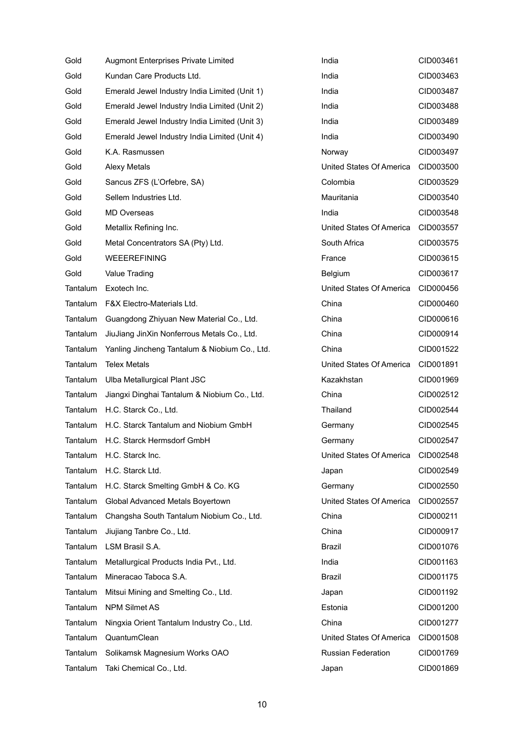| Gold     | <b>Augmont Enterprises Private Limited</b>     | India                     | CID003461 |
|----------|------------------------------------------------|---------------------------|-----------|
| Gold     | Kundan Care Products Ltd.                      | India                     | CID003463 |
| Gold     | Emerald Jewel Industry India Limited (Unit 1)  | India                     | CID003487 |
| Gold     | Emerald Jewel Industry India Limited (Unit 2)  | India                     | CID003488 |
| Gold     | Emerald Jewel Industry India Limited (Unit 3)  | India                     | CID003489 |
| Gold     | Emerald Jewel Industry India Limited (Unit 4)  | India                     | CID003490 |
| Gold     | K.A. Rasmussen                                 | Norway                    | CID003497 |
| Gold     | Alexy Metals                                   | United States Of America  | CID003500 |
| Gold     | Sancus ZFS (L'Orfebre, SA)                     | Colombia                  | CID003529 |
| Gold     | Sellem Industries Ltd.                         | Mauritania                | CID003540 |
| Gold     | <b>MD Overseas</b>                             | India                     | CID003548 |
| Gold     | Metallix Refining Inc.                         | United States Of America  | CID003557 |
| Gold     | Metal Concentrators SA (Pty) Ltd.              | South Africa              | CID003575 |
| Gold     | <b>WEEEREFINING</b>                            | France                    | CID003615 |
| Gold     | Value Trading                                  | Belgium                   | CID003617 |
| Tantalum | Exotech Inc.                                   | United States Of America  | CID000456 |
|          | Tantalum F&X Electro-Materials Ltd.            | China                     | CID000460 |
| Tantalum | Guangdong Zhiyuan New Material Co., Ltd.       | China                     | CID000616 |
| Tantalum | JiuJiang JinXin Nonferrous Metals Co., Ltd.    | China                     | CID000914 |
| Tantalum | Yanling Jincheng Tantalum & Niobium Co., Ltd.  | China                     | CID001522 |
| Tantalum | <b>Telex Metals</b>                            | United States Of America  | CID001891 |
|          | Tantalum Ulba Metallurgical Plant JSC          | Kazakhstan                | CID001969 |
| Tantalum | Jiangxi Dinghai Tantalum & Niobium Co., Ltd.   | China                     | CID002512 |
|          | Tantalum H.C. Starck Co., Ltd.                 | Thailand                  | CID002544 |
|          | Tantalum H.C. Starck Tantalum and Niobium GmbH | Germany                   | CID002545 |
|          | Tantalum H.C. Starck Hermsdorf GmbH            | Germany                   | CID002547 |
| Tantalum | H.C. Starck Inc.                               | United States Of America  | CID002548 |
|          | Tantalum H.C. Starck Ltd.                      | Japan                     | CID002549 |
| Tantalum | H.C. Starck Smelting GmbH & Co. KG             | Germany                   | CID002550 |
| Tantalum | Global Advanced Metals Boyertown               | United States Of America  | CID002557 |
| Tantalum | Changsha South Tantalum Niobium Co., Ltd.      | China                     | CID000211 |
| Tantalum | Jiujiang Tanbre Co., Ltd.                      | China                     | CID000917 |
| Tantalum | LSM Brasil S.A.                                | Brazil                    | CID001076 |
| Tantalum | Metallurgical Products India Pvt., Ltd.        | India                     | CID001163 |
| Tantalum | Mineracao Taboca S.A.                          | Brazil                    | CID001175 |
| Tantalum | Mitsui Mining and Smelting Co., Ltd.           | Japan                     | CID001192 |
| Tantalum | <b>NPM Silmet AS</b>                           | Estonia                   | CID001200 |
| Tantalum | Ningxia Orient Tantalum Industry Co., Ltd.     | China                     | CID001277 |
| Tantalum | QuantumClean                                   | United States Of America  | CID001508 |
| Tantalum | Solikamsk Magnesium Works OAO                  | <b>Russian Federation</b> | CID001769 |
| Tantalum | Taki Chemical Co., Ltd.                        | Japan                     | CID001869 |

| India                    | CID003461 |
|--------------------------|-----------|
| India                    | CID003463 |
| India                    | CID003487 |
| India                    | CID003488 |
| India                    | CID003489 |
| India                    | CID003490 |
| Norway                   | CID003497 |
| United States Of America | CID003500 |
| Colombia                 | CID003529 |
| Mauritania               | CID003540 |
| India                    | CID003548 |
| United States Of America | CID003557 |
| South Africa             | CID003575 |
| France                   | CID003615 |
| Belgium                  | CID003617 |
| United States Of America | CID000456 |
| China                    | CID000460 |
| China                    | CID000616 |
| China                    | CID000914 |
| China                    | CID001522 |
| United States Of America | CID001891 |
| Kazakhstan               | CID001969 |
| China                    | CID002512 |
| Thailand                 | CID002544 |
| Germany                  | CID002545 |
| Germany                  | CID002547 |
| United States Of America | CID002548 |
| Japan                    | CID002549 |
| Germany                  | CID002550 |
| United States Of America | CID002557 |
| China                    | CID000211 |
| China                    | CID000917 |
| Brazil                   | CID001076 |
| India                    | CID001163 |
| Brazil                   | CID001175 |
| Japan                    | CID001192 |
| Estonia                  | CID001200 |
| China                    | CID001277 |
| United States Of America | CID001508 |
| Russian Federation       | CID001769 |
| Japan                    | CID001869 |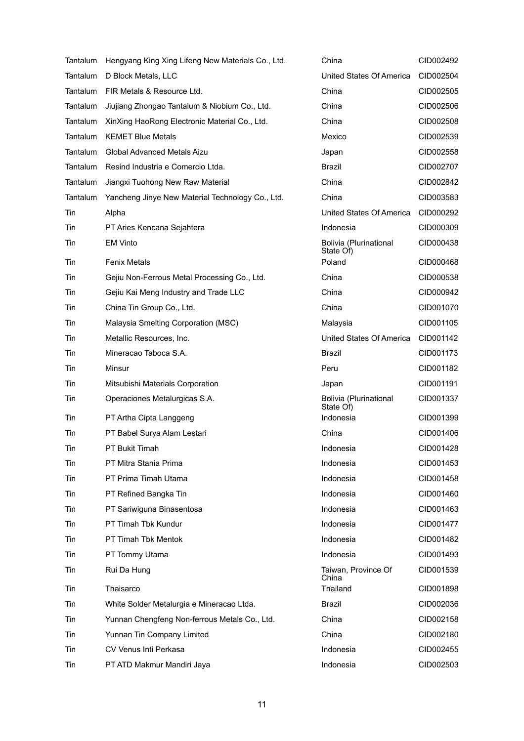|            | Tantalum Hengyang King Xing Lifeng New Materials Co., Ltd. | China                               | CID002492              |
|------------|------------------------------------------------------------|-------------------------------------|------------------------|
| Tantalum   | D Block Metals, LLC                                        | United States Of America            | CID002504              |
|            | Tantalum FIR Metals & Resource Ltd.                        | China                               | CID002505              |
| Tantalum   | Jiujiang Zhongao Tantalum & Niobium Co., Ltd.              | China                               | CID002506              |
|            | Tantalum XinXing HaoRong Electronic Material Co., Ltd.     | China                               | CID002508              |
|            | Tantalum KEMET Blue Metals                                 | Mexico                              | CID002539              |
| Tantalum   | Global Advanced Metals Aizu                                | Japan                               | CID002558              |
|            | Tantalum Resind Industria e Comercio Ltda.                 | Brazil                              | CID002707              |
| Tantalum   | Jiangxi Tuohong New Raw Material                           | China                               | CID002842              |
| Tantalum   | Yancheng Jinye New Material Technology Co., Ltd.           | China                               | CID003583              |
| Tin        | Alpha                                                      | United States Of America            | CID000292              |
| <b>Tin</b> | PT Aries Kencana Sejahtera                                 | Indonesia                           | CID000309              |
| Tin        | <b>EM Vinto</b>                                            | Bolivia (Plurinational<br>State Of) | CID000438              |
| Tin        | <b>Fenix Metals</b>                                        | Poland                              | CID000468              |
| <b>Tin</b> | Gejiu Non-Ferrous Metal Processing Co., Ltd.               | China                               | CID000538              |
| Tin        | Gejiu Kai Meng Industry and Trade LLC                      | China                               | CID000942              |
| Tin        | China Tin Group Co., Ltd.                                  | China                               | CID001070              |
| Tin        | Malaysia Smelting Corporation (MSC)                        | Malaysia                            | CID001105              |
| Tin        | Metallic Resources, Inc.                                   | United States Of America            | CID001142              |
| Tin        | Mineracao Taboca S.A.                                      | Brazil                              | CID001173              |
| Tin        | Minsur                                                     | Peru                                | CID001182              |
|            |                                                            |                                     |                        |
| <b>Tin</b> | Mitsubishi Materials Corporation                           | Japan                               | CID001191              |
| Tin        | Operaciones Metalurgicas S.A.                              | Bolivia (Plurinational<br>State Of) | CID001337              |
| Tin        | PT Artha Cipta Langgeng                                    | Indonesia                           | CID001399              |
| Tin        | PT Babel Surya Alam Lestari                                | China                               | CID001406              |
| Tin        | PT Bukit Timah                                             | Indonesia                           | CID001428              |
| Tin        | PT Mitra Stania Prima                                      | Indonesia                           | CID001453              |
| Tin        | PT Prima Timah Utama                                       | Indonesia                           | CID001458              |
| Tin        | PT Refined Bangka Tin                                      | Indonesia                           | CID001460              |
| Tin        | PT Sariwiguna Binasentosa                                  | Indonesia                           | CID001463              |
| Tin        | PT Timah Tbk Kundur                                        | Indonesia                           | CID001477              |
| Tin        | PT Timah Tbk Mentok                                        | Indonesia                           | CID001482              |
| Tin        | PT Tommy Utama                                             | Indonesia                           | CID001493              |
| Tin        | Rui Da Hung                                                | Taiwan, Province Of<br>China        | CID001539              |
| Tin        | Thaisarco                                                  | Thailand                            | CID001898              |
| Tin        | White Solder Metalurgia e Mineracao Ltda.                  | <b>Brazil</b>                       | CID002036              |
| Tin        | Yunnan Chengfeng Non-ferrous Metals Co., Ltd.              | China                               | CID002158              |
| Tin        | Yunnan Tin Company Limited                                 | China                               | CID002180              |
| Tin<br>Tin | CV Venus Inti Perkasa<br>PT ATD Makmur Mandiri Java        | Indonesia<br>Indonesia              | CID002455<br>CID002503 |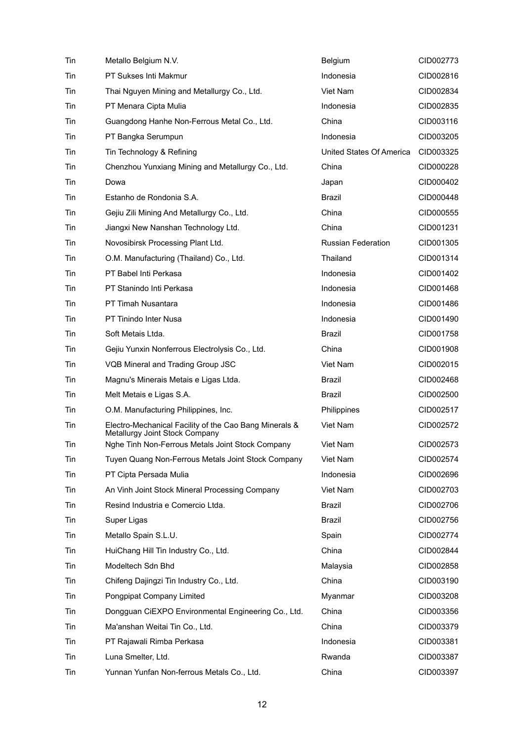| Tin | Metallo Belgium N.V.                                                                     | Belgium                   | CID002773 |
|-----|------------------------------------------------------------------------------------------|---------------------------|-----------|
| Tin | PT Sukses Inti Makmur                                                                    | Indonesia                 | CID002816 |
| Tin | Thai Nguyen Mining and Metallurgy Co., Ltd.                                              | Viet Nam                  | CID002834 |
| Tin | PT Menara Cipta Mulia                                                                    | Indonesia                 | CID002835 |
| Tin | Guangdong Hanhe Non-Ferrous Metal Co., Ltd.                                              | China                     | CID003116 |
| Tin | PT Bangka Serumpun                                                                       | Indonesia                 | CID003205 |
| Tin | Tin Technology & Refining                                                                | United States Of America  | CID003325 |
| Tin | Chenzhou Yunxiang Mining and Metallurgy Co., Ltd.                                        | China                     | CID000228 |
| Tin | Dowa                                                                                     | Japan                     | CID000402 |
| Tin | Estanho de Rondonia S.A.                                                                 | Brazil                    | CID000448 |
| Tin | Gejiu Zili Mining And Metallurgy Co., Ltd.                                               | China                     | CID000555 |
| Tin | Jiangxi New Nanshan Technology Ltd.                                                      | China                     | CID001231 |
| Tin | Novosibirsk Processing Plant Ltd.                                                        | <b>Russian Federation</b> | CID001305 |
| Tin | O.M. Manufacturing (Thailand) Co., Ltd.                                                  | Thailand                  | CID001314 |
| Tin | PT Babel Inti Perkasa                                                                    | Indonesia                 | CID001402 |
| Tin | PT Stanindo Inti Perkasa                                                                 | Indonesia                 | CID001468 |
| Tin | PT Timah Nusantara                                                                       | Indonesia                 | CID001486 |
| Tin | PT Tinindo Inter Nusa                                                                    | Indonesia                 | CID001490 |
| Tin | Soft Metais Ltda.                                                                        | <b>Brazil</b>             | CID001758 |
| Tin | Gejiu Yunxin Nonferrous Electrolysis Co., Ltd.                                           | China                     | CID001908 |
| Tin | VQB Mineral and Trading Group JSC                                                        | Viet Nam                  | CID002015 |
| Tin | Magnu's Minerais Metais e Ligas Ltda.                                                    | Brazil                    | CID002468 |
| Tin | Melt Metais e Ligas S.A.                                                                 | Brazil                    | CID002500 |
| Tin | O.M. Manufacturing Philippines, Inc.                                                     | Philippines               | CID002517 |
| Tin | Electro-Mechanical Facility of the Cao Bang Minerals &<br>Metallurgy Joint Stock Company | Viet Nam                  | CID002572 |
| Tin | Nghe Tinh Non-Ferrous Metals Joint Stock Company                                         | Viet Nam                  | CID002573 |
| Tin | Tuyen Quang Non-Ferrous Metals Joint Stock Company                                       | Viet Nam                  | CID002574 |
| Tin | PT Cipta Persada Mulia                                                                   | Indonesia                 | CID002696 |
| Tin | An Vinh Joint Stock Mineral Processing Company                                           | Viet Nam                  | CID002703 |
| Tin | Resind Industria e Comercio Ltda.                                                        | Brazil                    | CID002706 |
| Tin | Super Ligas                                                                              | Brazil                    | CID002756 |
| Tin | Metallo Spain S.L.U.                                                                     | Spain                     | CID002774 |
| Tin | HuiChang Hill Tin Industry Co., Ltd.                                                     | China                     | CID002844 |
| Tin | Modeltech Sdn Bhd                                                                        | Malaysia                  | CID002858 |
| Tin | Chifeng Dajingzi Tin Industry Co., Ltd.                                                  | China                     | CID003190 |
| Tin | Pongpipat Company Limited                                                                | Myanmar                   | CID003208 |
| Tin | Dongguan CiEXPO Environmental Engineering Co., Ltd.                                      | China                     | CID003356 |
| Tin | Ma'anshan Weitai Tin Co., Ltd.                                                           | China                     | CID003379 |
| Tin | PT Rajawali Rimba Perkasa                                                                | Indonesia                 | CID003381 |
| Tin | Luna Smelter, Ltd.                                                                       | Rwanda                    | CID003387 |
| Tin | Yunnan Yunfan Non-ferrous Metals Co., Ltd.                                               | China                     | CID003397 |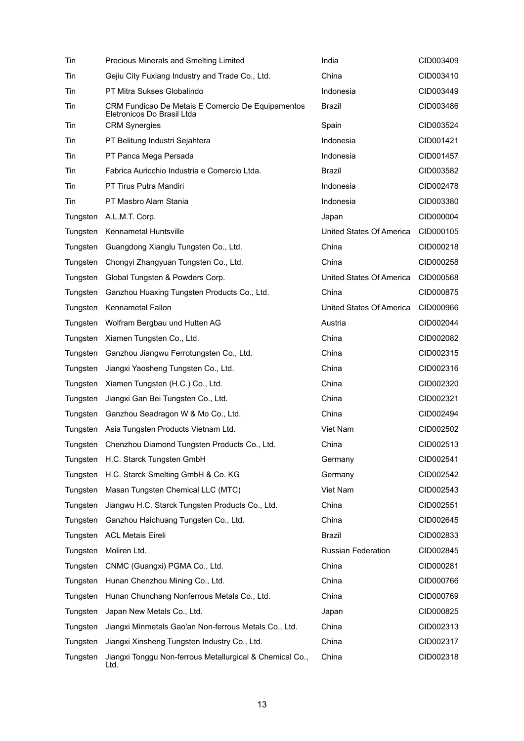| Tin      | Precious Minerals and Smelting Limited                                          | India                     | CID003409 |
|----------|---------------------------------------------------------------------------------|---------------------------|-----------|
| Tin      | Gejiu City Fuxiang Industry and Trade Co., Ltd.                                 | China                     | CID003410 |
| Tin      | PT Mitra Sukses Globalindo                                                      | Indonesia                 | CID003449 |
| Tin      | CRM Fundicao De Metais E Comercio De Equipamentos<br>Eletronicos Do Brasil Ltda | Brazil                    | CID003486 |
| Tin      | <b>CRM Synergies</b>                                                            | Spain                     | CID003524 |
| Tin      | PT Belitung Industri Sejahtera                                                  | Indonesia                 | CID001421 |
| Tin      | PT Panca Mega Persada                                                           | Indonesia                 | CID001457 |
| Tin      | Fabrica Auricchio Industria e Comercio Ltda.                                    | Brazil                    | CID003582 |
| Tin      | PT Tirus Putra Mandiri                                                          | Indonesia                 | CID002478 |
| Tin      | PT Masbro Alam Stania                                                           | Indonesia                 | CID003380 |
| Tungsten | A.L.M.T. Corp.                                                                  | Japan                     | CID000004 |
| Tungsten | <b>Kennametal Huntsville</b>                                                    | United States Of America  | CID000105 |
| Tungsten | Guangdong Xianglu Tungsten Co., Ltd.                                            | China                     | CID000218 |
| Tungsten | Chongyi Zhangyuan Tungsten Co., Ltd.                                            | China                     | CID000258 |
| Tungsten | Global Tungsten & Powders Corp.                                                 | United States Of America  | CID000568 |
| Tungsten | Ganzhou Huaxing Tungsten Products Co., Ltd.                                     | China                     | CID000875 |
| Tungsten | <b>Kennametal Fallon</b>                                                        | United States Of America  | CID000966 |
| Tungsten | Wolfram Bergbau und Hutten AG                                                   | Austria                   | CID002044 |
| Tungsten | Xiamen Tungsten Co., Ltd.                                                       | China                     | CID002082 |
| Tungsten | Ganzhou Jiangwu Ferrotungsten Co., Ltd.                                         | China                     | CID002315 |
| Tungsten | Jiangxi Yaosheng Tungsten Co., Ltd.                                             | China                     | CID002316 |
| Tungsten | Xiamen Tungsten (H.C.) Co., Ltd.                                                | China                     | CID002320 |
| Tungsten | Jiangxi Gan Bei Tungsten Co., Ltd.                                              | China                     | CID002321 |
| Tungsten | Ganzhou Seadragon W & Mo Co., Ltd.                                              | China                     | CID002494 |
| Tungsten | Asia Tungsten Products Vietnam Ltd.                                             | Viet Nam                  | CID002502 |
| Tungsten | Chenzhou Diamond Tungsten Products Co., Ltd.                                    | China                     | CID002513 |
| Tungsten | H.C. Starck Tungsten GmbH                                                       | Germany                   | CID002541 |
| Tungsten | H.C. Starck Smelting GmbH & Co. KG                                              | Germany                   | CID002542 |
| Tungsten | Masan Tungsten Chemical LLC (MTC)                                               | Viet Nam                  | CID002543 |
| Tungsten | Jiangwu H.C. Starck Tungsten Products Co., Ltd.                                 | China                     | CID002551 |
| Tungsten | Ganzhou Haichuang Tungsten Co., Ltd.                                            | China                     | CID002645 |
| Tungsten | <b>ACL Metais Eireli</b>                                                        | <b>Brazil</b>             | CID002833 |
| Tungsten | Moliren Ltd.                                                                    | <b>Russian Federation</b> | CID002845 |
| Tungsten | CNMC (Guangxi) PGMA Co., Ltd.                                                   | China                     | CID000281 |
| Tungsten | Hunan Chenzhou Mining Co., Ltd.                                                 | China                     | CID000766 |
| Tungsten | Hunan Chunchang Nonferrous Metals Co., Ltd.                                     | China                     | CID000769 |
| Tungsten | Japan New Metals Co., Ltd.                                                      | Japan                     | CID000825 |
| Tungsten | Jiangxi Minmetals Gao'an Non-ferrous Metals Co., Ltd.                           | China                     | CID002313 |
| Tungsten | Jiangxi Xinsheng Tungsten Industry Co., Ltd.                                    | China                     | CID002317 |
| Tungsten | Jiangxi Tonggu Non-ferrous Metallurgical & Chemical Co.,<br>Ltd.                | China                     | CID002318 |